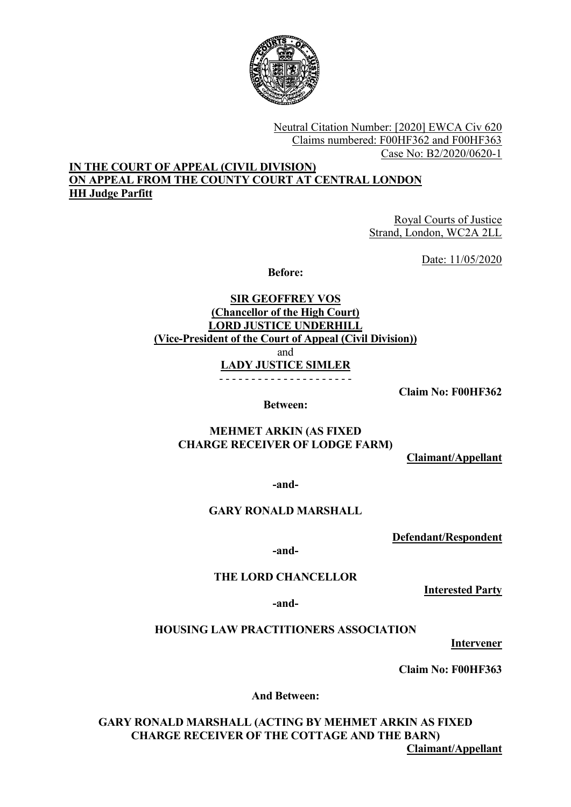

Neutral Citation Number: [2020] EWCA Civ 620 Claims numbered: F00HF362 and F00HF363 Case No: B2/2020/0620-1

## IN THE COURT OF APPEAL (CIVIL DIVISION) ON APPEAL FROM THE COUNTY COURT AT CENTRAL LONDON HH Judge Parfitt

Royal Courts of Justice Strand, London, WC2A 2LL

Date: 11/05/2020

Before:

SIR GEOFFREY VOS (Chancellor of the High Court) LORD JUSTICE UNDERHILL (Vice-President of the Court of Appeal (Civil Division)) and LADY JUSTICE SIMLER - - - - - - - - - - - - - - - - - - - - -

Claim No: F00HF362

Between:

# MEHMET ARKIN (AS FIXED CHARGE RECEIVER OF LODGE FARM)

Claimant/Appellant

-and-

## GARY RONALD MARSHALL

Defendant/Respondent

-and-

# THE LORD CHANCELLOR

Interested Party

-and-

## HOUSING LAW PRACTITIONERS ASSOCIATION

**Intervener** 

Claim No: F00HF363

And Between:

GARY RONALD MARSHALL (ACTING BY MEHMET ARKIN AS FIXED CHARGE RECEIVER OF THE COTTAGE AND THE BARN) Claimant/Appellant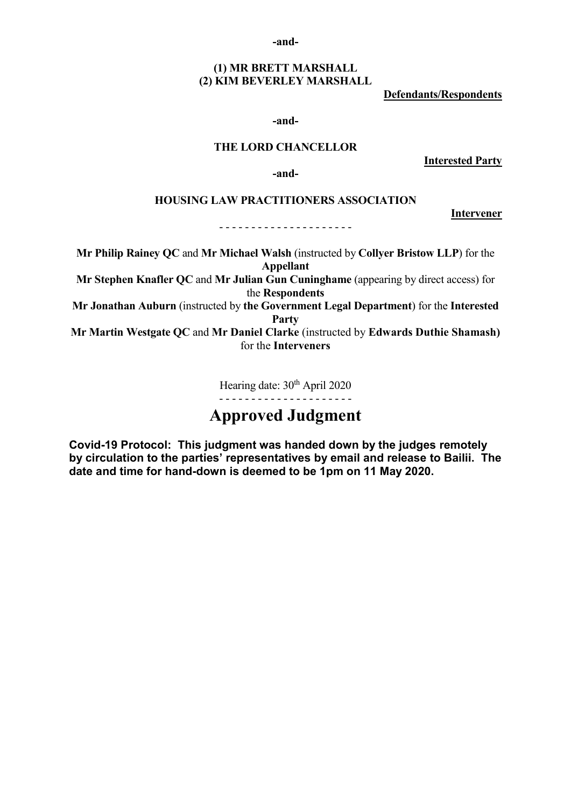-and-

## (1) MR BRETT MARSHALL (2) KIM BEVERLEY MARSHALL

Defendants/Respondents

-and-

## THE LORD CHANCELLOR

Interested Party

Intervener

-and-

#### HOUSING LAW PRACTITIONERS ASSOCIATION

#### - - - - - - - - - - - - - - - - - - - - -

Mr Philip Rainey QC and Mr Michael Walsh (instructed by Collyer Bristow LLP) for the Appellant

Mr Stephen Knafler QC and Mr Julian Gun Cuninghame (appearing by direct access) for the Respondents

Mr Jonathan Auburn (instructed by the Government Legal Department) for the Interested Party

Mr Martin Westgate QC and Mr Daniel Clarke (instructed by Edwards Duthie Shamash) for the Interveners

Hearing date:  $30<sup>th</sup>$  April 2020

- - - - - - - - - - - - - - - - - - - - -

# Approved Judgment

Covid-19 Protocol: This judgment was handed down by the judges remotely by circulation to the parties' representatives by email and release to Bailii. The date and time for hand-down is deemed to be 1pm on 11 May 2020.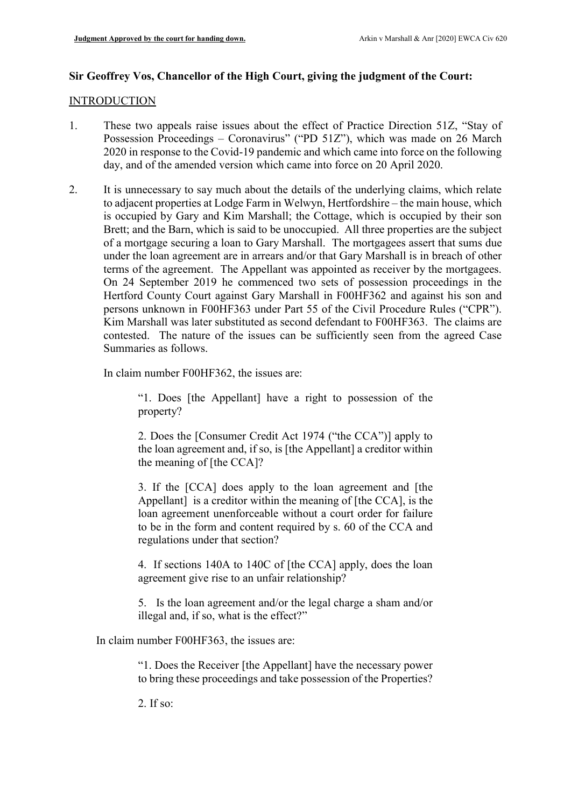#### Sir Geoffrey Vos, Chancellor of the High Court, giving the judgment of the Court:

#### **INTRODUCTION**

- 1. These two appeals raise issues about the effect of Practice Direction 51Z, "Stay of Possession Proceedings - Coronavirus" ("PD 51Z"), which was made on 26 March 2020 in response to the Covid-19 pandemic and which came into force on the following day, and of the amended version which came into force on 20 April 2020.
- 2. It is unnecessary to say much about the details of the underlying claims, which relate to adjacent properties at Lodge Farm in Welwyn, Hertfordshire – the main house, which is occupied by Gary and Kim Marshall; the Cottage, which is occupied by their son Brett; and the Barn, which is said to be unoccupied. All three properties are the subject of a mortgage securing a loan to Gary Marshall. The mortgagees assert that sums due under the loan agreement are in arrears and/or that Gary Marshall is in breach of other terms of the agreement. The Appellant was appointed as receiver by the mortgagees. On 24 September 2019 he commenced two sets of possession proceedings in the Hertford County Court against Gary Marshall in F00HF362 and against his son and persons unknown in F00HF363 under Part 55 of the Civil Procedure Rules ("CPR"). Kim Marshall was later substituted as second defendant to F00HF363. The claims are contested. The nature of the issues can be sufficiently seen from the agreed Case Summaries as follows.

In claim number F00HF362, the issues are:

"1. Does [the Appellant] have a right to possession of the property?

2. Does the [Consumer Credit Act 1974 ("the CCA")] apply to the loan agreement and, if so, is [the Appellant] a creditor within the meaning of [the CCA]?

3. If the [CCA] does apply to the loan agreement and [the Appellant is a creditor within the meaning of [the CCA], is the loan agreement unenforceable without a court order for failure to be in the form and content required by s. 60 of the CCA and regulations under that section?

4. If sections 140A to 140C of [the CCA] apply, does the loan agreement give rise to an unfair relationship?

5. Is the loan agreement and/or the legal charge a sham and/or illegal and, if so, what is the effect?"

In claim number F00HF363, the issues are:

"1. Does the Receiver [the Appellant] have the necessary power to bring these proceedings and take possession of the Properties?

2. If so: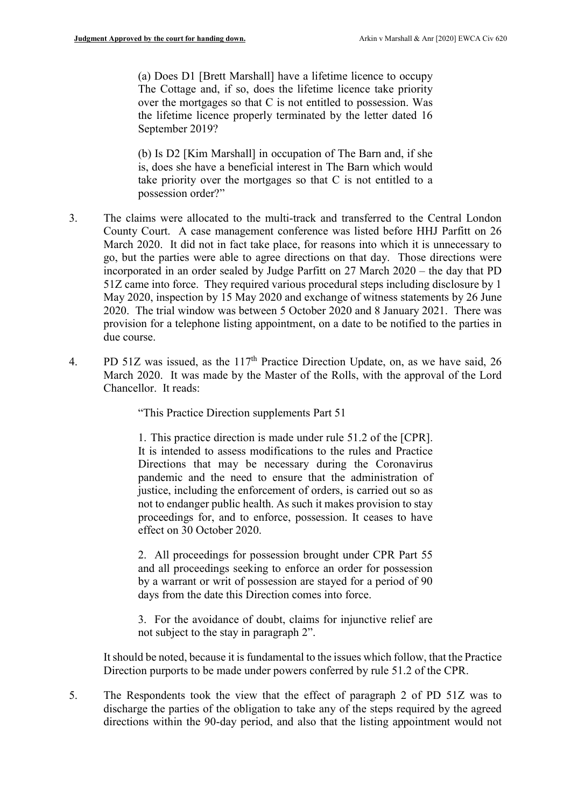(a) Does D1 [Brett Marshall] have a lifetime licence to occupy The Cottage and, if so, does the lifetime licence take priority over the mortgages so that C is not entitled to possession. Was the lifetime licence properly terminated by the letter dated 16 September 2019?

(b) Is D2 [Kim Marshall] in occupation of The Barn and, if she is, does she have a beneficial interest in The Barn which would take priority over the mortgages so that C is not entitled to a possession order?"

- 3. The claims were allocated to the multi-track and transferred to the Central London County Court. A case management conference was listed before HHJ Parfitt on 26 March 2020. It did not in fact take place, for reasons into which it is unnecessary to go, but the parties were able to agree directions on that day. Those directions were incorporated in an order sealed by Judge Parfitt on 27 March 2020 – the day that PD 51Z came into force. They required various procedural steps including disclosure by 1 May 2020, inspection by 15 May 2020 and exchange of witness statements by 26 June 2020. The trial window was between 5 October 2020 and 8 January 2021. There was provision for a telephone listing appointment, on a date to be notified to the parties in due course.
- 4. PD 51Z was issued, as the 117<sup>th</sup> Practice Direction Update, on, as we have said, 26 March 2020. It was made by the Master of the Rolls, with the approval of the Lord Chancellor. It reads:

"This Practice Direction supplements Part 51

1. This practice direction is made under rule 51.2 of the [CPR]. It is intended to assess modifications to the rules and Practice Directions that may be necessary during the Coronavirus pandemic and the need to ensure that the administration of justice, including the enforcement of orders, is carried out so as not to endanger public health. As such it makes provision to stay proceedings for, and to enforce, possession. It ceases to have effect on 30 October 2020.

2. All proceedings for possession brought under CPR Part 55 and all proceedings seeking to enforce an order for possession by a warrant or writ of possession are stayed for a period of 90 days from the date this Direction comes into force.

3. For the avoidance of doubt, claims for injunctive relief are not subject to the stay in paragraph 2".

It should be noted, because it is fundamental to the issues which follow, that the Practice Direction purports to be made under powers conferred by rule 51.2 of the CPR.

5. The Respondents took the view that the effect of paragraph 2 of PD 51Z was to discharge the parties of the obligation to take any of the steps required by the agreed directions within the 90-day period, and also that the listing appointment would not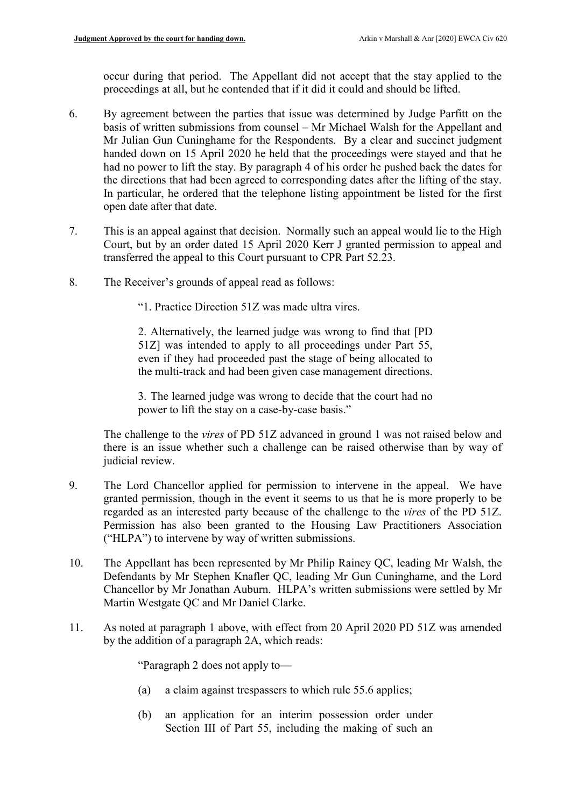occur during that period. The Appellant did not accept that the stay applied to the proceedings at all, but he contended that if it did it could and should be lifted.

- 6. By agreement between the parties that issue was determined by Judge Parfitt on the basis of written submissions from counsel – Mr Michael Walsh for the Appellant and Mr Julian Gun Cuninghame for the Respondents. By a clear and succinct judgment handed down on 15 April 2020 he held that the proceedings were stayed and that he had no power to lift the stay. By paragraph 4 of his order he pushed back the dates for the directions that had been agreed to corresponding dates after the lifting of the stay. In particular, he ordered that the telephone listing appointment be listed for the first open date after that date.
- 7. This is an appeal against that decision. Normally such an appeal would lie to the High Court, but by an order dated 15 April 2020 Kerr J granted permission to appeal and transferred the appeal to this Court pursuant to CPR Part 52.23.
- 8. The Receiver's grounds of appeal read as follows:

"1. Practice Direction 51Z was made ultra vires.

2. Alternatively, the learned judge was wrong to find that [PD 51Z] was intended to apply to all proceedings under Part 55, even if they had proceeded past the stage of being allocated to the multi-track and had been given case management directions.

3. The learned judge was wrong to decide that the court had no power to lift the stay on a case-by-case basis."

The challenge to the vires of PD 51Z advanced in ground 1 was not raised below and there is an issue whether such a challenge can be raised otherwise than by way of judicial review.

- 9. The Lord Chancellor applied for permission to intervene in the appeal. We have granted permission, though in the event it seems to us that he is more properly to be regarded as an interested party because of the challenge to the vires of the PD 51Z. Permission has also been granted to the Housing Law Practitioners Association ("HLPA") to intervene by way of written submissions.
- 10. The Appellant has been represented by Mr Philip Rainey QC, leading Mr Walsh, the Defendants by Mr Stephen Knafler QC, leading Mr Gun Cuninghame, and the Lord Chancellor by Mr Jonathan Auburn. HLPA's written submissions were settled by Mr Martin Westgate QC and Mr Daniel Clarke.
- 11. As noted at paragraph 1 above, with effect from 20 April 2020 PD 51Z was amended by the addition of a paragraph 2A, which reads:

"Paragraph 2 does not apply to—

- (a) a claim against trespassers to which rule 55.6 applies;
- (b) an application for an interim possession order under Section III of Part 55, including the making of such an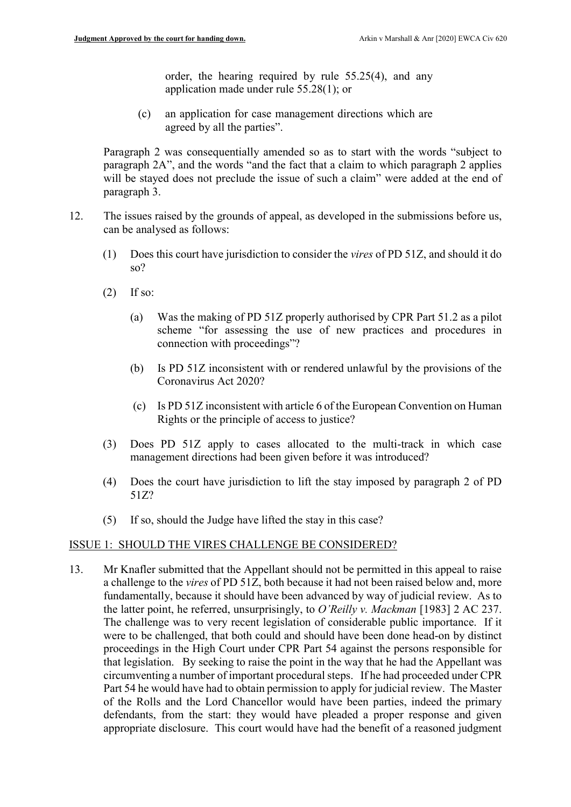order, the hearing required by rule 55.25(4), and any application made under rule 55.28(1); or

(c) an application for case management directions which are agreed by all the parties".

Paragraph 2 was consequentially amended so as to start with the words "subject to paragraph 2A", and the words "and the fact that a claim to which paragraph 2 applies will be stayed does not preclude the issue of such a claim" were added at the end of paragraph 3.

- 12. The issues raised by the grounds of appeal, as developed in the submissions before us, can be analysed as follows:
	- (1) Does this court have jurisdiction to consider the vires of PD 51Z, and should it do so?
	- $(2)$  If so:
		- (a) Was the making of PD 51Z properly authorised by CPR Part 51.2 as a pilot scheme "for assessing the use of new practices and procedures in connection with proceedings"?
		- (b) Is PD 51Z inconsistent with or rendered unlawful by the provisions of the Coronavirus Act 2020?
		- (c) Is PD 51Z inconsistent with article 6 of the European Convention on Human Rights or the principle of access to justice?
	- (3) Does PD 51Z apply to cases allocated to the multi-track in which case management directions had been given before it was introduced?
	- (4) Does the court have jurisdiction to lift the stay imposed by paragraph 2 of PD 51Z?
	- (5) If so, should the Judge have lifted the stay in this case?

#### ISSUE 1: SHOULD THE VIRES CHALLENGE BE CONSIDERED?

13. Mr Knafler submitted that the Appellant should not be permitted in this appeal to raise a challenge to the vires of PD 51Z, both because it had not been raised below and, more fundamentally, because it should have been advanced by way of judicial review. As to the latter point, he referred, unsurprisingly, to  $O'Reilly$  v. Mackman [1983] 2 AC 237. The challenge was to very recent legislation of considerable public importance. If it were to be challenged, that both could and should have been done head-on by distinct proceedings in the High Court under CPR Part 54 against the persons responsible for that legislation. By seeking to raise the point in the way that he had the Appellant was circumventing a number of important procedural steps. If he had proceeded under CPR Part 54 he would have had to obtain permission to apply for judicial review. The Master of the Rolls and the Lord Chancellor would have been parties, indeed the primary defendants, from the start: they would have pleaded a proper response and given appropriate disclosure. This court would have had the benefit of a reasoned judgment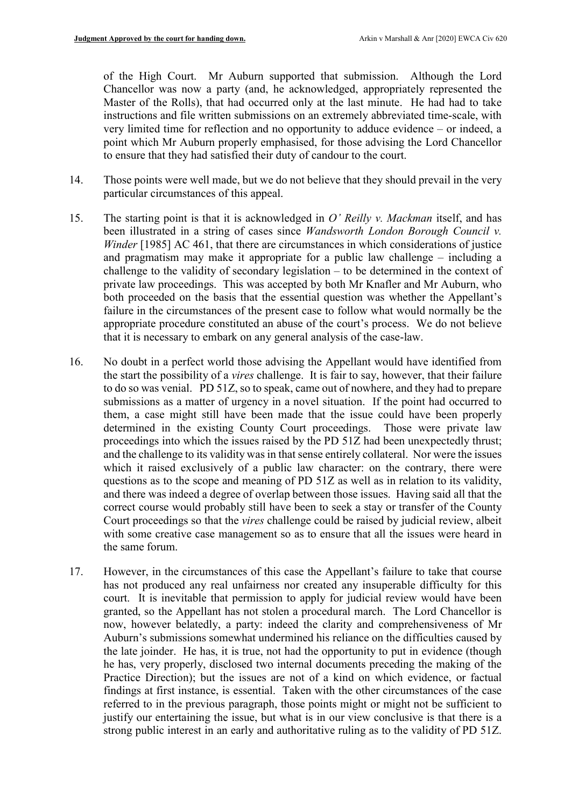of the High Court. Mr Auburn supported that submission. Although the Lord Chancellor was now a party (and, he acknowledged, appropriately represented the Master of the Rolls), that had occurred only at the last minute. He had had to take instructions and file written submissions on an extremely abbreviated time-scale, with very limited time for reflection and no opportunity to adduce evidence – or indeed, a point which Mr Auburn properly emphasised, for those advising the Lord Chancellor to ensure that they had satisfied their duty of candour to the court.

- 14. Those points were well made, but we do not believe that they should prevail in the very particular circumstances of this appeal.
- 15. The starting point is that it is acknowledged in O' Reilly v. Mackman itself, and has been illustrated in a string of cases since Wandsworth London Borough Council v. Winder [1985] AC 461, that there are circumstances in which considerations of justice and pragmatism may make it appropriate for a public law challenge – including a challenge to the validity of secondary legislation – to be determined in the context of private law proceedings. This was accepted by both Mr Knafler and Mr Auburn, who both proceeded on the basis that the essential question was whether the Appellant's failure in the circumstances of the present case to follow what would normally be the appropriate procedure constituted an abuse of the court's process. We do not believe that it is necessary to embark on any general analysis of the case-law.
- 16. No doubt in a perfect world those advising the Appellant would have identified from the start the possibility of a vires challenge. It is fair to say, however, that their failure to do so was venial. PD 51Z, so to speak, came out of nowhere, and they had to prepare submissions as a matter of urgency in a novel situation. If the point had occurred to them, a case might still have been made that the issue could have been properly determined in the existing County Court proceedings. Those were private law proceedings into which the issues raised by the PD 51Z had been unexpectedly thrust; and the challenge to its validity was in that sense entirely collateral. Nor were the issues which it raised exclusively of a public law character: on the contrary, there were questions as to the scope and meaning of PD 51Z as well as in relation to its validity, and there was indeed a degree of overlap between those issues. Having said all that the correct course would probably still have been to seek a stay or transfer of the County Court proceedings so that the vires challenge could be raised by judicial review, albeit with some creative case management so as to ensure that all the issues were heard in the same forum.
- 17. However, in the circumstances of this case the Appellant's failure to take that course has not produced any real unfairness nor created any insuperable difficulty for this court. It is inevitable that permission to apply for judicial review would have been granted, so the Appellant has not stolen a procedural march. The Lord Chancellor is now, however belatedly, a party: indeed the clarity and comprehensiveness of Mr Auburn's submissions somewhat undermined his reliance on the difficulties caused by the late joinder. He has, it is true, not had the opportunity to put in evidence (though he has, very properly, disclosed two internal documents preceding the making of the Practice Direction); but the issues are not of a kind on which evidence, or factual findings at first instance, is essential. Taken with the other circumstances of the case referred to in the previous paragraph, those points might or might not be sufficient to justify our entertaining the issue, but what is in our view conclusive is that there is a strong public interest in an early and authoritative ruling as to the validity of PD 51Z.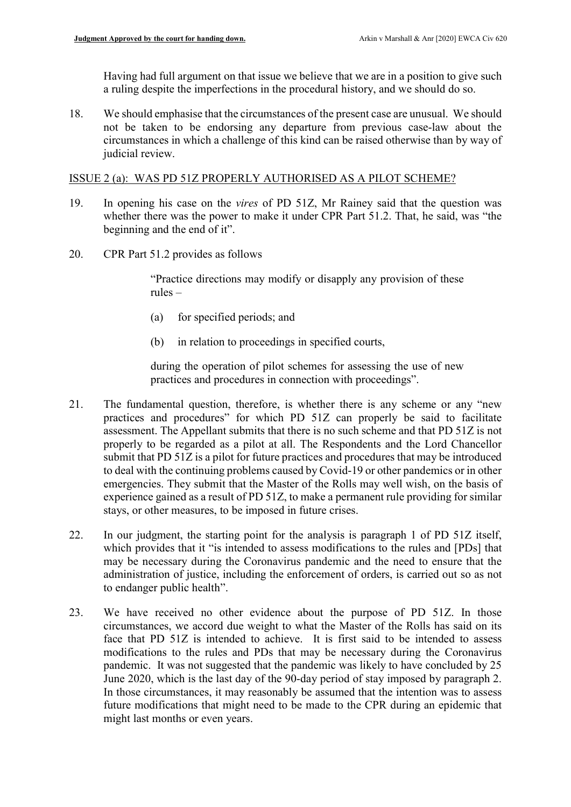Having had full argument on that issue we believe that we are in a position to give such a ruling despite the imperfections in the procedural history, and we should do so.

18. We should emphasise that the circumstances of the present case are unusual. We should not be taken to be endorsing any departure from previous case-law about the circumstances in which a challenge of this kind can be raised otherwise than by way of judicial review.

#### ISSUE 2 (a): WAS PD 51Z PROPERLY AUTHORISED AS A PILOT SCHEME?

- 19. In opening his case on the vires of PD 51Z, Mr Rainey said that the question was whether there was the power to make it under CPR Part 51.2. That, he said, was "the beginning and the end of it".
- 20. CPR Part 51.2 provides as follows

"Practice directions may modify or disapply any provision of these rules –

- (a) for specified periods; and
- (b) in relation to proceedings in specified courts,

during the operation of pilot schemes for assessing the use of new practices and procedures in connection with proceedings".

- 21. The fundamental question, therefore, is whether there is any scheme or any "new practices and procedures" for which PD 51Z can properly be said to facilitate assessment. The Appellant submits that there is no such scheme and that PD 51Z is not properly to be regarded as a pilot at all. The Respondents and the Lord Chancellor submit that PD 51Z is a pilot for future practices and procedures that may be introduced to deal with the continuing problems caused by Covid-19 or other pandemics or in other emergencies. They submit that the Master of the Rolls may well wish, on the basis of experience gained as a result of PD 51Z, to make a permanent rule providing for similar stays, or other measures, to be imposed in future crises.
- 22. In our judgment, the starting point for the analysis is paragraph 1 of PD 51Z itself, which provides that it "is intended to assess modifications to the rules and [PDs] that may be necessary during the Coronavirus pandemic and the need to ensure that the administration of justice, including the enforcement of orders, is carried out so as not to endanger public health".
- 23. We have received no other evidence about the purpose of PD 51Z. In those circumstances, we accord due weight to what the Master of the Rolls has said on its face that PD 51Z is intended to achieve. It is first said to be intended to assess modifications to the rules and PDs that may be necessary during the Coronavirus pandemic. It was not suggested that the pandemic was likely to have concluded by 25 June 2020, which is the last day of the 90-day period of stay imposed by paragraph 2. In those circumstances, it may reasonably be assumed that the intention was to assess future modifications that might need to be made to the CPR during an epidemic that might last months or even years.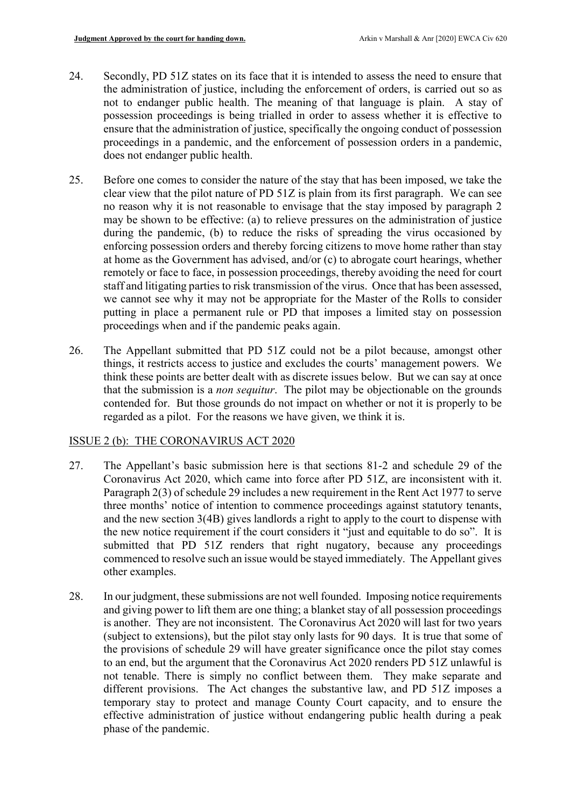- 24. Secondly, PD 51Z states on its face that it is intended to assess the need to ensure that the administration of justice, including the enforcement of orders, is carried out so as not to endanger public health. The meaning of that language is plain. A stay of possession proceedings is being trialled in order to assess whether it is effective to ensure that the administration of justice, specifically the ongoing conduct of possession proceedings in a pandemic, and the enforcement of possession orders in a pandemic, does not endanger public health.
- 25. Before one comes to consider the nature of the stay that has been imposed, we take the clear view that the pilot nature of PD 51Z is plain from its first paragraph. We can see no reason why it is not reasonable to envisage that the stay imposed by paragraph 2 may be shown to be effective: (a) to relieve pressures on the administration of justice during the pandemic, (b) to reduce the risks of spreading the virus occasioned by enforcing possession orders and thereby forcing citizens to move home rather than stay at home as the Government has advised, and/or (c) to abrogate court hearings, whether remotely or face to face, in possession proceedings, thereby avoiding the need for court staff and litigating parties to risk transmission of the virus. Once that has been assessed, we cannot see why it may not be appropriate for the Master of the Rolls to consider putting in place a permanent rule or PD that imposes a limited stay on possession proceedings when and if the pandemic peaks again.
- 26. The Appellant submitted that PD 51Z could not be a pilot because, amongst other things, it restricts access to justice and excludes the courts' management powers. We think these points are better dealt with as discrete issues below. But we can say at once that the submission is a non sequitur. The pilot may be objectionable on the grounds contended for. But those grounds do not impact on whether or not it is properly to be regarded as a pilot. For the reasons we have given, we think it is.

#### ISSUE 2 (b): THE CORONAVIRUS ACT 2020

- 27. The Appellant's basic submission here is that sections 81-2 and schedule 29 of the Coronavirus Act 2020, which came into force after PD 51Z, are inconsistent with it. Paragraph 2(3) of schedule 29 includes a new requirement in the Rent Act 1977 to serve three months' notice of intention to commence proceedings against statutory tenants, and the new section 3(4B) gives landlords a right to apply to the court to dispense with the new notice requirement if the court considers it "just and equitable to do so". It is submitted that PD 51Z renders that right nugatory, because any proceedings commenced to resolve such an issue would be stayed immediately. The Appellant gives other examples.
- 28. In our judgment, these submissions are not well founded. Imposing notice requirements and giving power to lift them are one thing; a blanket stay of all possession proceedings is another. They are not inconsistent. The Coronavirus Act 2020 will last for two years (subject to extensions), but the pilot stay only lasts for 90 days. It is true that some of the provisions of schedule 29 will have greater significance once the pilot stay comes to an end, but the argument that the Coronavirus Act 2020 renders PD 51Z unlawful is not tenable. There is simply no conflict between them. They make separate and different provisions. The Act changes the substantive law, and PD 51Z imposes a temporary stay to protect and manage County Court capacity, and to ensure the effective administration of justice without endangering public health during a peak phase of the pandemic.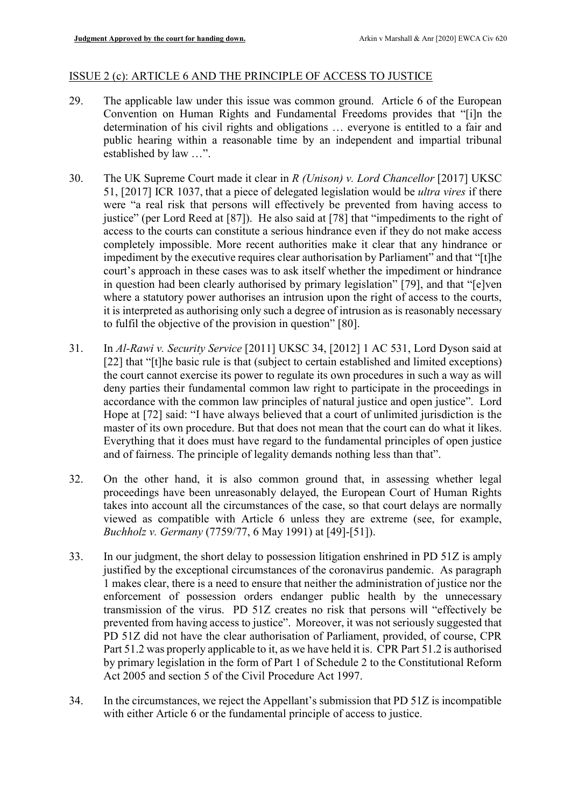#### ISSUE 2 (c): ARTICLE 6 AND THE PRINCIPLE OF ACCESS TO JUSTICE

- 29. The applicable law under this issue was common ground. Article 6 of the European Convention on Human Rights and Fundamental Freedoms provides that "[i]n the determination of his civil rights and obligations … everyone is entitled to a fair and public hearing within a reasonable time by an independent and impartial tribunal established by law …".
- 30. The UK Supreme Court made it clear in R (Unison) v. Lord Chancellor [2017] UKSC 51, [2017] ICR 1037, that a piece of delegated legislation would be ultra vires if there were "a real risk that persons will effectively be prevented from having access to justice" (per Lord Reed at [87]). He also said at [78] that "impediments to the right of access to the courts can constitute a serious hindrance even if they do not make access completely impossible. More recent authorities make it clear that any hindrance or impediment by the executive requires clear authorisation by Parliament" and that "[t]he court's approach in these cases was to ask itself whether the impediment or hindrance in question had been clearly authorised by primary legislation" [79], and that "[e]ven where a statutory power authorises an intrusion upon the right of access to the courts, it is interpreted as authorising only such a degree of intrusion as is reasonably necessary to fulfil the objective of the provision in question" [80].
- 31. In Al-Rawi v. Security Service [2011] UKSC 34, [2012] 1 AC 531, Lord Dyson said at [22] that "[t]he basic rule is that (subject to certain established and limited exceptions) the court cannot exercise its power to regulate its own procedures in such a way as will deny parties their fundamental common law right to participate in the proceedings in accordance with the common law principles of natural justice and open justice". Lord Hope at [72] said: "I have always believed that a court of unlimited jurisdiction is the master of its own procedure. But that does not mean that the court can do what it likes. Everything that it does must have regard to the fundamental principles of open justice and of fairness. The principle of legality demands nothing less than that".
- 32. On the other hand, it is also common ground that, in assessing whether legal proceedings have been unreasonably delayed, the European Court of Human Rights takes into account all the circumstances of the case, so that court delays are normally viewed as compatible with Article 6 unless they are extreme (see, for example, Buchholz v. Germany (7759/77, 6 May 1991) at [49]-[51]).
- 33. In our judgment, the short delay to possession litigation enshrined in PD 51Z is amply justified by the exceptional circumstances of the coronavirus pandemic. As paragraph 1 makes clear, there is a need to ensure that neither the administration of justice nor the enforcement of possession orders endanger public health by the unnecessary transmission of the virus. PD 51Z creates no risk that persons will "effectively be prevented from having access to justice". Moreover, it was not seriously suggested that PD 51Z did not have the clear authorisation of Parliament, provided, of course, CPR Part 51.2 was properly applicable to it, as we have held it is. CPR Part 51.2 is authorised by primary legislation in the form of Part 1 of Schedule 2 to the Constitutional Reform Act 2005 and section 5 of the Civil Procedure Act 1997.
- 34. In the circumstances, we reject the Appellant's submission that PD 51Z is incompatible with either Article 6 or the fundamental principle of access to justice.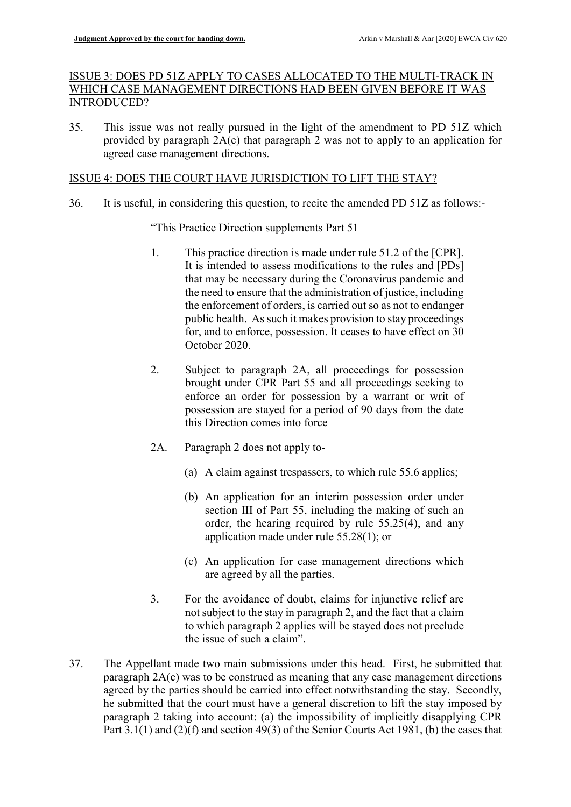## ISSUE 3: DOES PD 51Z APPLY TO CASES ALLOCATED TO THE MULTI-TRACK IN WHICH CASE MANAGEMENT DIRECTIONS HAD BEEN GIVEN BEFORE IT WAS INTRODUCED?

35. This issue was not really pursued in the light of the amendment to PD 51Z which provided by paragraph 2A(c) that paragraph 2 was not to apply to an application for agreed case management directions.

#### ISSUE 4: DOES THE COURT HAVE JURISDICTION TO LIFT THE STAY?

36. It is useful, in considering this question, to recite the amended PD 51Z as follows:-

"This Practice Direction supplements Part 51

- 1. This practice direction is made under rule 51.2 of the [CPR]. It is intended to assess modifications to the rules and [PDs] that may be necessary during the Coronavirus pandemic and the need to ensure that the administration of justice, including the enforcement of orders, is carried out so as not to endanger public health. As such it makes provision to stay proceedings for, and to enforce, possession. It ceases to have effect on 30 October 2020.
- 2. Subject to paragraph 2A, all proceedings for possession brought under CPR Part 55 and all proceedings seeking to enforce an order for possession by a warrant or writ of possession are stayed for a period of 90 days from the date this Direction comes into force
- 2A. Paragraph 2 does not apply to-
	- (a) A claim against trespassers, to which rule 55.6 applies;
	- (b) An application for an interim possession order under section III of Part 55, including the making of such an order, the hearing required by rule 55.25(4), and any application made under rule 55.28(1); or
	- (c) An application for case management directions which are agreed by all the parties.
- 3. For the avoidance of doubt, claims for injunctive relief are not subject to the stay in paragraph 2, and the fact that a claim to which paragraph 2 applies will be stayed does not preclude the issue of such a claim".
- 37. The Appellant made two main submissions under this head. First, he submitted that paragraph 2A(c) was to be construed as meaning that any case management directions agreed by the parties should be carried into effect notwithstanding the stay. Secondly, he submitted that the court must have a general discretion to lift the stay imposed by paragraph 2 taking into account: (a) the impossibility of implicitly disapplying CPR Part 3.1(1) and (2)(f) and section 49(3) of the Senior Courts Act 1981, (b) the cases that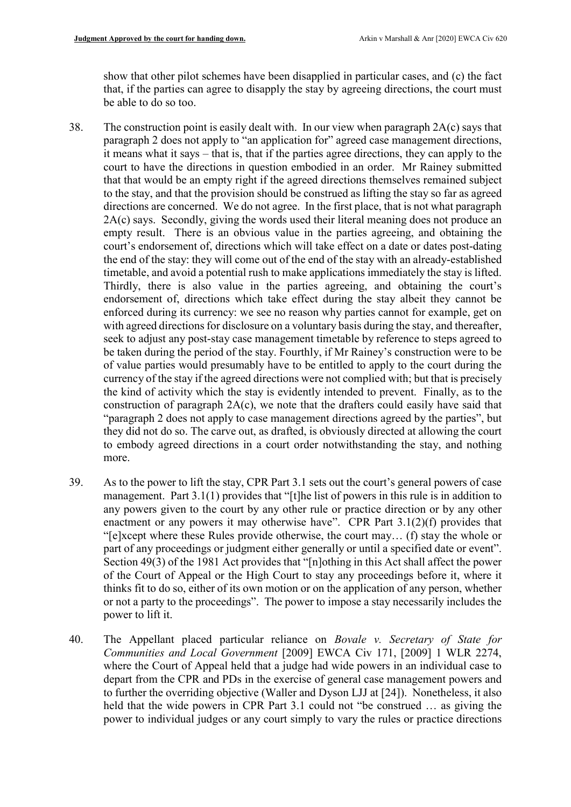show that other pilot schemes have been disapplied in particular cases, and (c) the fact that, if the parties can agree to disapply the stay by agreeing directions, the court must be able to do so too.

- 38. The construction point is easily dealt with. In our view when paragraph 2A(c) says that paragraph 2 does not apply to "an application for" agreed case management directions, it means what it says – that is, that if the parties agree directions, they can apply to the court to have the directions in question embodied in an order. Mr Rainey submitted that that would be an empty right if the agreed directions themselves remained subject to the stay, and that the provision should be construed as lifting the stay so far as agreed directions are concerned. We do not agree. In the first place, that is not what paragraph 2A(c) says. Secondly, giving the words used their literal meaning does not produce an empty result. There is an obvious value in the parties agreeing, and obtaining the court's endorsement of, directions which will take effect on a date or dates post-dating the end of the stay: they will come out of the end of the stay with an already-established timetable, and avoid a potential rush to make applications immediately the stay is lifted. Thirdly, there is also value in the parties agreeing, and obtaining the court's endorsement of, directions which take effect during the stay albeit they cannot be enforced during its currency: we see no reason why parties cannot for example, get on with agreed directions for disclosure on a voluntary basis during the stay, and thereafter, seek to adjust any post-stay case management timetable by reference to steps agreed to be taken during the period of the stay. Fourthly, if Mr Rainey's construction were to be of value parties would presumably have to be entitled to apply to the court during the currency of the stay if the agreed directions were not complied with; but that is precisely the kind of activity which the stay is evidently intended to prevent. Finally, as to the construction of paragraph 2A(c), we note that the drafters could easily have said that "paragraph 2 does not apply to case management directions agreed by the parties", but they did not do so. The carve out, as drafted, is obviously directed at allowing the court to embody agreed directions in a court order notwithstanding the stay, and nothing more.
- 39. As to the power to lift the stay, CPR Part 3.1 sets out the court's general powers of case management. Part 3.1(1) provides that "[t]he list of powers in this rule is in addition to any powers given to the court by any other rule or practice direction or by any other enactment or any powers it may otherwise have". CPR Part 3.1(2)(f) provides that "[e]xcept where these Rules provide otherwise, the court may… (f) stay the whole or part of any proceedings or judgment either generally or until a specified date or event". Section 49(3) of the 1981 Act provides that "[n]othing in this Act shall affect the power of the Court of Appeal or the High Court to stay any proceedings before it, where it thinks fit to do so, either of its own motion or on the application of any person, whether or not a party to the proceedings". The power to impose a stay necessarily includes the power to lift it.
- 40. The Appellant placed particular reliance on Bovale v. Secretary of State for Communities and Local Government [2009] EWCA Civ 171, [2009] 1 WLR 2274, where the Court of Appeal held that a judge had wide powers in an individual case to depart from the CPR and PDs in the exercise of general case management powers and to further the overriding objective (Waller and Dyson LJJ at [24]). Nonetheless, it also held that the wide powers in CPR Part 3.1 could not "be construed … as giving the power to individual judges or any court simply to vary the rules or practice directions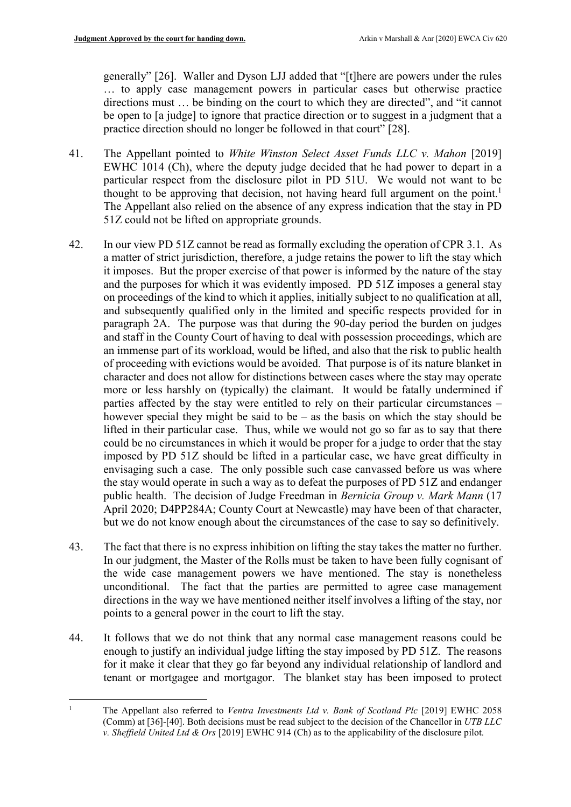generally" [26]. Waller and Dyson LJJ added that "[t]here are powers under the rules … to apply case management powers in particular cases but otherwise practice directions must … be binding on the court to which they are directed", and "it cannot be open to [a judge] to ignore that practice direction or to suggest in a judgment that a practice direction should no longer be followed in that court" [28].

- 41. The Appellant pointed to *White Winston Select Asset Funds LLC v. Mahon* [2019] EWHC 1014 (Ch), where the deputy judge decided that he had power to depart in a particular respect from the disclosure pilot in PD 51U. We would not want to be thought to be approving that decision, not having heard full argument on the point.<sup>1</sup> The Appellant also relied on the absence of any express indication that the stay in PD 51Z could not be lifted on appropriate grounds.
- 42. In our view PD 51Z cannot be read as formally excluding the operation of CPR 3.1. As a matter of strict jurisdiction, therefore, a judge retains the power to lift the stay which it imposes. But the proper exercise of that power is informed by the nature of the stay and the purposes for which it was evidently imposed. PD 51Z imposes a general stay on proceedings of the kind to which it applies, initially subject to no qualification at all, and subsequently qualified only in the limited and specific respects provided for in paragraph 2A. The purpose was that during the 90-day period the burden on judges and staff in the County Court of having to deal with possession proceedings, which are an immense part of its workload, would be lifted, and also that the risk to public health of proceeding with evictions would be avoided. That purpose is of its nature blanket in character and does not allow for distinctions between cases where the stay may operate more or less harshly on (typically) the claimant. It would be fatally undermined if parties affected by the stay were entitled to rely on their particular circumstances – however special they might be said to be – as the basis on which the stay should be lifted in their particular case. Thus, while we would not go so far as to say that there could be no circumstances in which it would be proper for a judge to order that the stay imposed by PD 51Z should be lifted in a particular case, we have great difficulty in envisaging such a case. The only possible such case canvassed before us was where the stay would operate in such a way as to defeat the purposes of PD 51Z and endanger public health. The decision of Judge Freedman in Bernicia Group v. Mark Mann (17 April 2020; D4PP284A; County Court at Newcastle) may have been of that character, but we do not know enough about the circumstances of the case to say so definitively.
- 43. The fact that there is no express inhibition on lifting the stay takes the matter no further. In our judgment, the Master of the Rolls must be taken to have been fully cognisant of the wide case management powers we have mentioned. The stay is nonetheless unconditional. The fact that the parties are permitted to agree case management directions in the way we have mentioned neither itself involves a lifting of the stay, nor points to a general power in the court to lift the stay.
- 44. It follows that we do not think that any normal case management reasons could be enough to justify an individual judge lifting the stay imposed by PD 51Z. The reasons for it make it clear that they go far beyond any individual relationship of landlord and tenant or mortgagee and mortgagor. The blanket stay has been imposed to protect

<sup>-</sup>1 The Appellant also referred to Ventra Investments Ltd v. Bank of Scotland Plc [2019] EWHC 2058 (Comm) at [36]-[40]. Both decisions must be read subject to the decision of the Chancellor in UTB LLC v. Sheffield United Ltd & Ors [2019] EWHC 914 (Ch) as to the applicability of the disclosure pilot.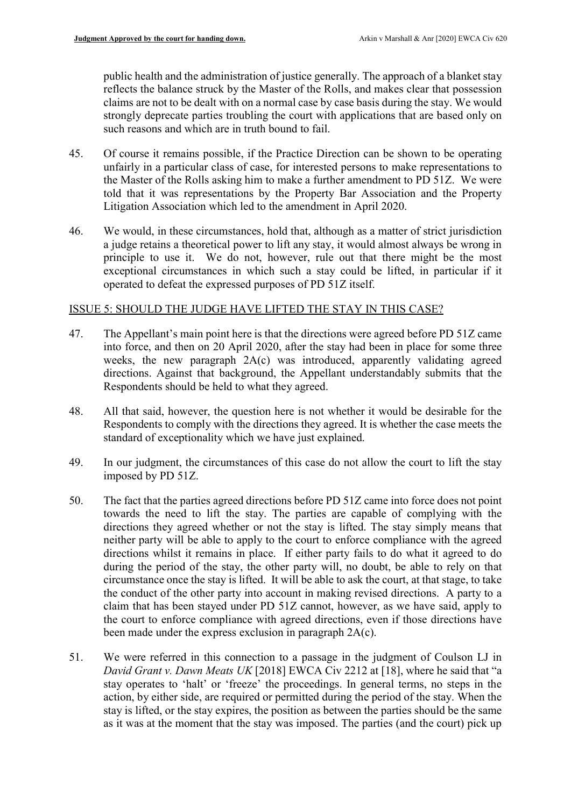public health and the administration of justice generally. The approach of a blanket stay reflects the balance struck by the Master of the Rolls, and makes clear that possession claims are not to be dealt with on a normal case by case basis during the stay. We would strongly deprecate parties troubling the court with applications that are based only on such reasons and which are in truth bound to fail.

- 45. Of course it remains possible, if the Practice Direction can be shown to be operating unfairly in a particular class of case, for interested persons to make representations to the Master of the Rolls asking him to make a further amendment to PD 51Z. We were told that it was representations by the Property Bar Association and the Property Litigation Association which led to the amendment in April 2020.
- 46. We would, in these circumstances, hold that, although as a matter of strict jurisdiction a judge retains a theoretical power to lift any stay, it would almost always be wrong in principle to use it. We do not, however, rule out that there might be the most exceptional circumstances in which such a stay could be lifted, in particular if it operated to defeat the expressed purposes of PD 51Z itself.

## ISSUE 5: SHOULD THE JUDGE HAVE LIFTED THE STAY IN THIS CASE?

- 47. The Appellant's main point here is that the directions were agreed before PD 51Z came into force, and then on 20 April 2020, after the stay had been in place for some three weeks, the new paragraph 2A(c) was introduced, apparently validating agreed directions. Against that background, the Appellant understandably submits that the Respondents should be held to what they agreed.
- 48. All that said, however, the question here is not whether it would be desirable for the Respondents to comply with the directions they agreed. It is whether the case meets the standard of exceptionality which we have just explained.
- 49. In our judgment, the circumstances of this case do not allow the court to lift the stay imposed by PD 51Z.
- 50. The fact that the parties agreed directions before PD 51Z came into force does not point towards the need to lift the stay. The parties are capable of complying with the directions they agreed whether or not the stay is lifted. The stay simply means that neither party will be able to apply to the court to enforce compliance with the agreed directions whilst it remains in place. If either party fails to do what it agreed to do during the period of the stay, the other party will, no doubt, be able to rely on that circumstance once the stay is lifted. It will be able to ask the court, at that stage, to take the conduct of the other party into account in making revised directions. A party to a claim that has been stayed under PD 51Z cannot, however, as we have said, apply to the court to enforce compliance with agreed directions, even if those directions have been made under the express exclusion in paragraph 2A(c).
- 51. We were referred in this connection to a passage in the judgment of Coulson LJ in David Grant v. Dawn Meats UK [2018] EWCA Civ 2212 at [18], where he said that "a stay operates to 'halt' or 'freeze' the proceedings. In general terms, no steps in the action, by either side, are required or permitted during the period of the stay. When the stay is lifted, or the stay expires, the position as between the parties should be the same as it was at the moment that the stay was imposed. The parties (and the court) pick up